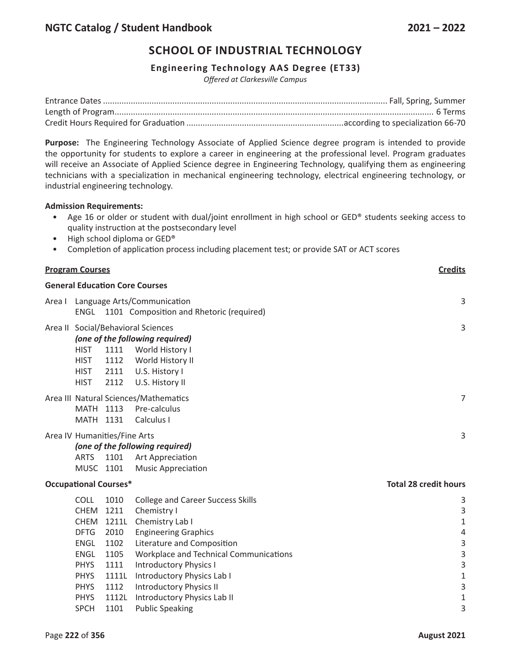### **Engineering Technology AAS Degree (ET33)**

*Offered at Clarkesville Campus*

**Purpose:** The Engineering Technology Associate of Applied Science degree program is intended to provide the opportunity for students to explore a career in engineering at the professional level. Program graduates will receive an Associate of Applied Science degree in Engineering Technology, qualifying them as engineering technicians with a specialization in mechanical engineering technology, electrical engineering technology, or industrial engineering technology.

#### **Admission Requirements:**

- Age 16 or older or student with dual/joint enrollment in high school or GED® students seeking access to quality instruction at the postsecondary level
- High school diploma or GED®
- Completion of application process including placement test; or provide SAT or ACT scores

| <b>Program Courses</b>                |                             |       | <b>Credits</b>                                |                              |
|---------------------------------------|-----------------------------|-------|-----------------------------------------------|------------------------------|
| <b>General Education Core Courses</b> |                             |       |                                               |                              |
| Area I                                | Language Arts/Communication |       |                                               | 3                            |
|                                       |                             |       | ENGL 1101 Composition and Rhetoric (required) |                              |
|                                       |                             |       | Area II Social/Behavioral Sciences            | $\mathbf{3}$                 |
|                                       |                             |       | (one of the following required)               |                              |
|                                       | <b>HIST</b>                 | 1111  | World History I                               |                              |
|                                       | <b>HIST</b>                 | 1112  | World History II                              |                              |
|                                       | <b>HIST</b>                 | 2111  | U.S. History I                                |                              |
|                                       | <b>HIST</b>                 | 2112  | U.S. History II                               |                              |
|                                       |                             |       | Area III Natural Sciences/Mathematics         | $\overline{7}$               |
|                                       | MATH 1113                   |       | Pre-calculus                                  |                              |
|                                       | MATH 1131                   |       | Calculus I                                    |                              |
| Area IV Humanities/Fine Arts          |                             |       |                                               | 3                            |
| (one of the following required)       |                             |       |                                               |                              |
|                                       | <b>ARTS</b>                 | 1101  | Art Appreciation                              |                              |
|                                       | MUSC 1101                   |       | <b>Music Appreciation</b>                     |                              |
| <b>Occupational Courses*</b>          |                             |       |                                               | <b>Total 28 credit hours</b> |
|                                       | <b>COLL</b>                 | 1010  | <b>College and Career Success Skills</b>      | 3                            |
|                                       | <b>CHEM</b>                 | 1211  | Chemistry I                                   | 3                            |
|                                       | <b>CHEM</b>                 | 1211L | Chemistry Lab I                               | $\mathbf{1}$                 |
|                                       | <b>DFTG</b>                 | 2010  | <b>Engineering Graphics</b>                   | 4                            |
|                                       | <b>ENGL</b>                 | 1102  | Literature and Composition                    | 3                            |
|                                       | <b>ENGL</b>                 | 1105  | Workplace and Technical Communications        | 3                            |
|                                       | <b>PHYS</b>                 | 1111  | <b>Introductory Physics I</b>                 | 3                            |
|                                       | <b>PHYS</b>                 | 1111L | Introductory Physics Lab I                    | $\mathbf 1$                  |
|                                       | <b>PHYS</b>                 | 1112  | <b>Introductory Physics II</b>                | 3                            |
|                                       | <b>PHYS</b>                 | 1112L | Introductory Physics Lab II                   | 1                            |
|                                       | <b>SPCH</b>                 | 1101  | <b>Public Speaking</b>                        | 3                            |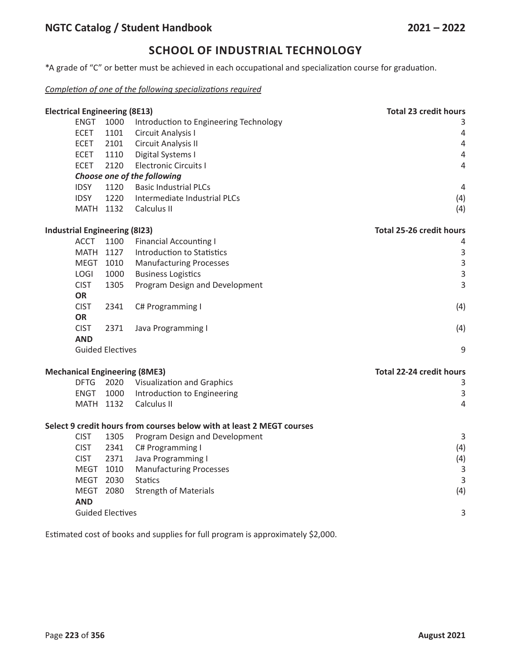\*A grade of "C" or better must be achieved in each occupational and specialization course for graduation.

## *Completion of one of the following specializations required*

| <b>Electrical Engineering (8E13)</b> |                                                               |                         | <b>Total 23 credit hours</b>                                          |                                 |
|--------------------------------------|---------------------------------------------------------------|-------------------------|-----------------------------------------------------------------------|---------------------------------|
|                                      | <b>ENGT</b><br>1000<br>Introduction to Engineering Technology |                         |                                                                       | 3                               |
|                                      | <b>ECET</b>                                                   | 1101                    | Circuit Analysis I                                                    | $\overline{4}$                  |
|                                      | <b>ECET</b>                                                   | 2101                    | Circuit Analysis II                                                   | $\sqrt{4}$                      |
|                                      | <b>ECET</b>                                                   | 1110                    | Digital Systems I                                                     | $\sqrt{4}$                      |
|                                      | <b>ECET</b>                                                   | 2120                    | <b>Electronic Circuits I</b>                                          | $\overline{4}$                  |
|                                      |                                                               |                         | Choose one of the following                                           |                                 |
|                                      | <b>IDSY</b>                                                   | 1120                    | <b>Basic Industrial PLCs</b>                                          | 4                               |
|                                      | <b>IDSY</b>                                                   | 1220                    | Intermediate Industrial PLCs                                          | (4)                             |
|                                      | MATH 1132                                                     |                         | Calculus II                                                           | (4)                             |
|                                      | <b>Industrial Engineering (8123)</b>                          |                         |                                                                       | <b>Total 25-26 credit hours</b> |
|                                      | <b>ACCT</b>                                                   | 1100                    | <b>Financial Accounting I</b>                                         | 4                               |
|                                      | MATH 1127                                                     |                         | <b>Introduction to Statistics</b>                                     | $\mathbf{3}$                    |
|                                      | MEGT 1010                                                     |                         | <b>Manufacturing Processes</b>                                        | $\mathbf{3}$                    |
|                                      | <b>LOGI</b>                                                   | 1000                    | <b>Business Logistics</b>                                             | 3                               |
|                                      | <b>CIST</b>                                                   | 1305                    | Program Design and Development                                        | $\overline{3}$                  |
|                                      | <b>OR</b>                                                     |                         |                                                                       |                                 |
|                                      | <b>CIST</b>                                                   | 2341                    | C# Programming I                                                      | (4)                             |
|                                      | OR                                                            |                         |                                                                       |                                 |
|                                      | <b>CIST</b>                                                   | 2371                    | Java Programming I                                                    | (4)                             |
|                                      | <b>AND</b>                                                    |                         |                                                                       |                                 |
|                                      |                                                               | <b>Guided Electives</b> |                                                                       | 9                               |
| <b>Mechanical Engineering (8ME3)</b> |                                                               |                         |                                                                       | <b>Total 22-24 credit hours</b> |
|                                      | <b>DFTG</b>                                                   | 2020                    | <b>Visualization and Graphics</b>                                     | 3                               |
|                                      | <b>ENGT</b>                                                   | 1000                    | Introduction to Engineering                                           | $\overline{3}$                  |
|                                      | MATH 1132                                                     |                         | Calculus II                                                           | $\overline{4}$                  |
|                                      |                                                               |                         | Select 9 credit hours from courses below with at least 2 MEGT courses |                                 |
|                                      | <b>CIST</b>                                                   | 1305                    | Program Design and Development                                        | 3                               |
|                                      | <b>CIST</b>                                                   | 2341                    | C# Programming I                                                      | (4)                             |
|                                      | <b>CIST</b>                                                   | 2371                    | Java Programming I                                                    | (4)                             |
|                                      | MEGT 1010                                                     |                         | <b>Manufacturing Processes</b>                                        | $\overline{3}$                  |
|                                      | MEGT 2030                                                     |                         | <b>Statics</b>                                                        | $\overline{3}$                  |
|                                      | MEGT 2080                                                     |                         | <b>Strength of Materials</b>                                          | (4)                             |
|                                      | <b>AND</b>                                                    |                         |                                                                       |                                 |
|                                      |                                                               | <b>Guided Electives</b> |                                                                       | 3                               |
|                                      |                                                               |                         |                                                                       |                                 |

Estimated cost of books and supplies for full program is approximately \$2,000.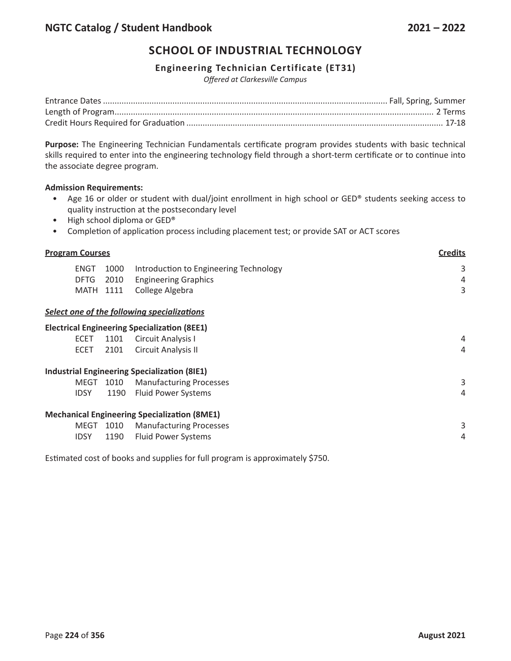### **Engineering Technician Certificate (ET31)**

*Offered at Clarkesville Campus*

**Purpose:** The Engineering Technician Fundamentals certificate program provides students with basic technical skills required to enter into the engineering technology field through a short-term certificate or to continue into the associate degree program.

### **Admission Requirements:**

- Age 16 or older or student with dual/joint enrollment in high school or GED® students seeking access to quality instruction at the postsecondary level
- High school diploma or GED®
- Completion of application process including placement test; or provide SAT or ACT scores

| <b>Program Courses</b> |      |                                                     | <b>Credits</b> |  |
|------------------------|------|-----------------------------------------------------|----------------|--|
| <b>ENGT</b>            | 1000 | Introduction to Engineering Technology              | 3              |  |
| <b>DFTG</b>            | 2010 | <b>Engineering Graphics</b>                         | 4              |  |
| <b>MATH 1111</b>       |      | College Algebra                                     | 3              |  |
|                        |      | Select one of the following specializations         |                |  |
|                        |      | <b>Electrical Engineering Specialization (8EE1)</b> |                |  |
| <b>ECET</b>            | 1101 | <b>Circuit Analysis I</b>                           | 4              |  |
| <b>ECET</b>            | 2101 | Circuit Analysis II                                 | 4              |  |
|                        |      | <b>Industrial Engineering Specialization (8IE1)</b> |                |  |
| MEGT                   | 1010 | <b>Manufacturing Processes</b>                      | 3              |  |
| <b>IDSY</b>            | 1190 | <b>Fluid Power Systems</b>                          | 4              |  |
|                        |      | <b>Mechanical Engineering Specialization (8ME1)</b> |                |  |
| MEGT                   | 1010 | <b>Manufacturing Processes</b>                      | 3              |  |
| <b>IDSY</b>            | 1190 | <b>Fluid Power Systems</b>                          | 4              |  |

Estimated cost of books and supplies for full program is approximately \$750.